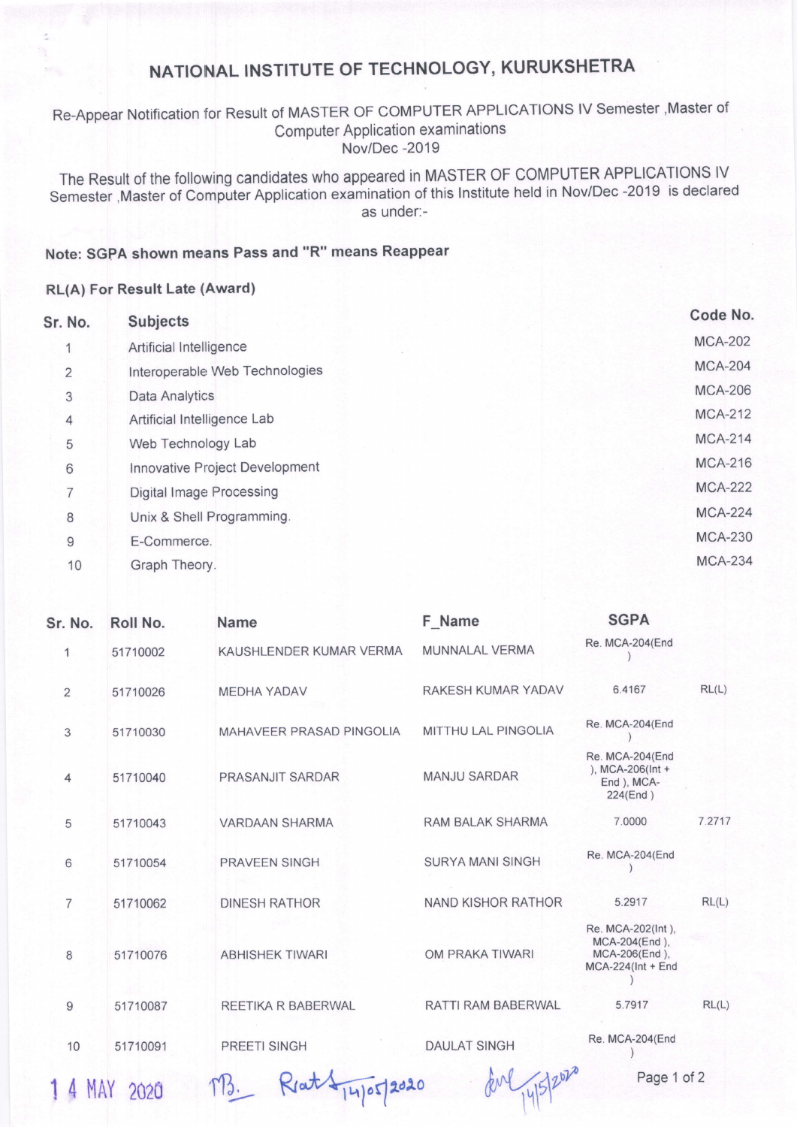## NATIONAL INSTITUTE OF TECHNOLOGY, KURUKSHETRA

### Re-Appear Notification for Result of MASTER OF COMPUTER APPLICATTONS lV Semester ,Master of Computer Application examinations Nov/Dec -2019

The Result of the following candidates who appeared in MASTER OF COMPUTER APPLICATIONS IV Semester , Master of Computer Application examination of this Institute held in Nov/Dec -2019 is declared as under:-

### Note: SGPA shown means Pass and "R" means Reappear

#### RL(A) For Result Late (Award)

| Sr. No.        | <b>Subjects</b>                 | Code No.       |
|----------------|---------------------------------|----------------|
|                | Artificial Intelligence         | <b>MCA-202</b> |
| $\overline{2}$ | Interoperable Web Technologies  | <b>MCA-204</b> |
| 3              | <b>Data Analytics</b>           | <b>MCA-206</b> |
| 4              | Artificial Intelligence Lab     | <b>MCA-212</b> |
| 5              | Web Technology Lab              | <b>MCA-214</b> |
| 6              | Innovative Project Development  | <b>MCA-216</b> |
| 7              | <b>Digital Image Processing</b> | <b>MCA-222</b> |
| 8              | Unix & Shell Programming.       | <b>MCA-224</b> |
| 9              | E-Commerce.                     | <b>MCA-230</b> |
| 10             | Graph Theory.                   | <b>MCA-234</b> |
|                |                                 |                |

| Sr. No.           | Roll No. | <b>Name</b>                     | F Name                     | <b>SGPA</b>                                                                 |        |
|-------------------|----------|---------------------------------|----------------------------|-----------------------------------------------------------------------------|--------|
| 1                 | 51710002 | KAUSHLENDER KUMAR VERMA         | MUNNALAL VERMA             | Re. MCA-204(End                                                             |        |
| $\overline{2}$    | 51710026 | <b>MEDHA YADAV</b>              | RAKESH KUMAR YADAV         | 6.4167                                                                      | RL(L)  |
| 3                 | 51710030 | <b>MAHAVEER PRASAD PINGOLIA</b> | <b>MITTHU LAL PINGOLIA</b> | Re. MCA-204(End                                                             |        |
| 4                 | 51710040 | PRASANJIT SARDAR                | <b>MANJU SARDAR</b>        | Re. MCA-204(End<br>), MCA-206( $Int +$<br>End ), MCA-<br>224(End)           |        |
| 5                 | 51710043 | <b>VARDAAN SHARMA</b>           | <b>RAM BALAK SHARMA</b>    | 7,0000                                                                      | 7.2717 |
| 6                 | 51710054 | <b>PRAVEEN SINGH</b>            | <b>SURYA MANI SINGH</b>    | Re. MCA-204(End                                                             |        |
| $\overline{7}$    | 51710062 | <b>DINESH RATHOR</b>            | NAND KISHOR RATHOR         | 5.2917                                                                      | RL(L)  |
| 8                 | 51710076 | <b>ABHISHEK TIWARI</b>          | OM PRAKA TIWARI            | Re. MCA-202(Int),<br>MCA-204(End),<br>MCA-206(End),<br>$MCA-224$ (Int + End |        |
| 9                 | 51710087 | REETIKA R BABERWAL              | RATTI RAM BABERWAL         | 5.7917                                                                      | RL(L)  |
| 10                | 51710091 | <b>PREETI SINGH</b>             | <b>DAULAT SINGH</b>        | Re. MCA-204(End                                                             |        |
| 140052020<br>2020 |          |                                 |                            | Page 1 of 2                                                                 |        |